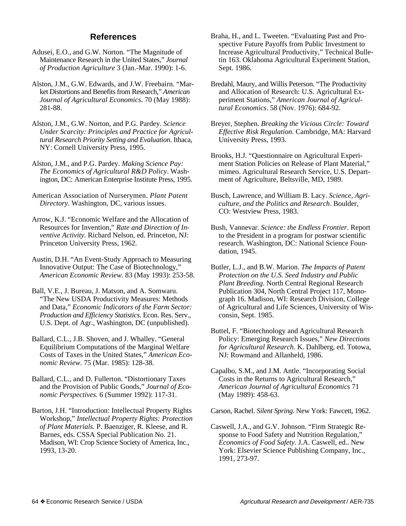## **References**

- Adusei, E.O., and G.W. Norton. "The Magnitude of Maintenance Research in the United States," *Journal of Production Agriculture* 3 (Jan.-Mar. 1990): 1-6.
- Alston, J.M., G.W. Edwards, and J.W. Freebairn. "Market Distortions and Benefits from Research," *American Journal of Agricultural Economics*. 70 (May 1988): 281-88.
- Alston, J.M., G.W. Norton, and P.G. Pardey. *Science Under Scarcity: Principles and Practice for Agricultural Research Priority Setting and Evaluation*. Ithaca, NY: Cornell University Press, 1995.
- Alston, J.M., and P.G. Pardey. *Making Science Pay: The Economics of Agricultural R&D Policy*. Washington, DC: American Enterprise Institute Press, 1995.
- American Association of Nurserymen. *Plant Patent Directory*. Washington, DC, various issues.
- Arrow, K.J. "Economic Welfare and the Allocation of Resources for Invention," *Rate and Direction of Inventive Activity*. Richard Nelson, ed. Princeton, NJ: Princeton University Press, 1962.

Austin, D.H. "An Event-Study Approach to Measuring Innovative Output: The Case of Biotechnology," *American Economic Review.* 83 (May 1993): 253-58.

Ball, V.E., J. Bureau, J. Matson, and A. Somwaru. "The New USDA Productivity Measures: Methods and Data," *Economic Indicators of the Farm Sector: Production and Efficiency Statistics*. Econ. Res. Serv., U.S. Dept. of Agr., Washington, DC (unpublished).

Ballard, C.L., J.B. Shoven, and J. Whalley. "General Equilibrium Computations of the Marginal Welfare Costs of Taxes in the United States," *American Economic Review.* 75 (Mar. 1985): 128-38.

Ballard, C.L., and D. Fullerton. "Distortionary Taxes and the Provision of Public Goods," *Journal of Economic Perspectives.* 6 (Summer 1992): 117-31.

Barton, J.H. "Introduction: Intellectual Property Rights Workshop," *Intellectual Property Rights: Protection of Plant Materials.* P. Baenziger, R. Kleese, and R. Barnes, eds. CSSA Special Publication No. 21. Madison, WI: Crop Science Society of America, Inc., 1993, 13-20.

- Braha, H., and L. Tweeten. "Evaluating Past and Prospective Future Payoffs from Public Investment to Increase Agricultural Productivity," Technical Bulletin 163. Oklahoma Agricultural Experiment Station, Sept. 1986.
- Bredahl, Maury, and Willis Peterson. "The Productivity and Allocation of Research: U.S. Agricultural Experiment Stations," *American Journal of Agricultural Economics*. 58 (Nov. 1976): 684-92.
- Breyer, Stephen. *Breaking the Vicious Circle: Toward Effective Risk Regulation*. Cambridge, MA: Harvard University Press, 1993.
- Brooks, H.J. "Questionnaire on Agricultural Experiment Station Policies on Release of Plant Material," mimeo. Agricultural Research Service, U.S. Department of Agriculture, Beltsville, MD, 1989.
- Busch, Lawrence, and William B. Lacy. *Science, Agriculture, and the Politics and Research*. Boulder, CO: Westview Press, 1983.
- Bush, Vannevar. *Science: the Endless Frontier*. Report to the President in a program for postwar scientific research. Washington, DC: National Science Foundation, 1945.
- Butler, L.J., and B.W. Marion. *The Impacts of Patent Protection on the U.S. Seed Industry and Public Plant Breeding*. North Central Regional Research Publication 304, North Central Project 117, Monograph 16. Madison, WI: Research Division, College of Agricultural and Life Sciences, University of Wisconsin, Sept. 1985.
- Buttel, F. "Biotechnology and Agricultural Research Policy: Emerging Research Issues," *New Directions for Agricultural Research.* K. Dahlberg, ed. Totowa, NJ: Rowmand and Allanheld, 1986.
- Capalbo, S.M., and J.M. Antle. "Incorporating Social Costs in the Returns to Agricultural Research," *American Journal of Agricultural Economics* 71 (May 1989): 458-63.

Carson, Rachel. *Silent Spring*. New York: Fawcett, 1962.

Caswell, J.A., and G.V. Johnson. "Firm Strategic Response to Food Safety and Nutrition Regulation," *Economics of Food Safety*. J.A. Caswell, ed.. New York: Elsevier Science Publishing Company, Inc., 1991, 273-97.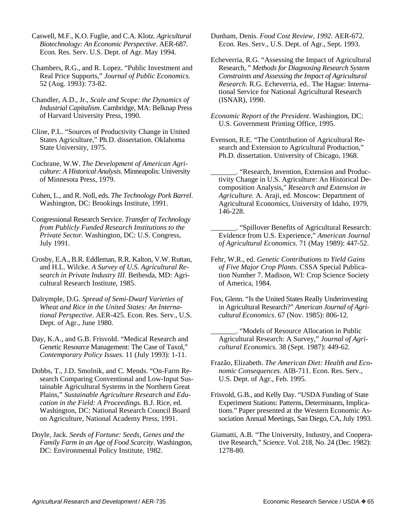Caswell, M.F., K.O. Fuglie, and C.A. Klotz. *Agricultural Biotechnology: An Economic Perspective*. AER-687. Econ. Res. Serv. U.S. Dept. of Agr. May 1994.

Chambers, R.G., and R. Lopez. "Public Investment and Real Price Supports," *Journal of Public Economics*. 52 (Aug. 1993): 73-82.

Chandler, A.D., Jr., *Scale and Scope: the Dynamics of Industrial Capitalism*. Cambridge, MA: Belknap Press of Harvard University Press, 1990.

Cline, P.L. "Sources of Productivity Change in United States Agriculture," Ph.D. dissertation. Oklahoma State University, 1975.

Cochrane, W.W. *The Development of American Agriculture: A Historical Analysis*. Minneapolis: University of Minnesota Press, 1979.

Cohen, L., and R. Noll, eds. *The Technology Pork Barrel*. Washington, DC: Brookings Institute, 1991.

Congressional Research Service. *Transfer of Technology from Publicly Funded Research Institutions to the Private Sector*. Washington, DC: U.S. Congress, July 1991.

Crosby, E.A., B.R. Eddleman, R.R. Kalton, V.W. Ruttan, and H.L. Wilcke. *A Survey of U.S. Agricultural Research in Private Industry III*. Bethesda, MD: Agricultural Research Institute, 1985.

Dalrymple, D.G. *Spread of Semi-Dwarf Varieties of Wheat and Rice in the United States: An International Perspective*. AER-425. Econ. Res. Serv., U.S. Dept. of Agr., June 1980.

Day, K.A., and G.B. Frisvold. "Medical Research and Genetic Resource Management: The Case of Taxol," *Contemporary Policy Issues*. 11 (July 1993): 1-11.

Dobbs, T., J.D. Smolnik, and C. Mends. "On-Farm Research Comparing Conventional and Low-Input Sustainable Agricultural Systems in the Northern Great Plains," *Sustainable Agriculture Research and Education in the Field: A Proceedings.* B.J. Rice, ed. Washington, DC: National Research Council Board on Agriculture, National Academy Press, 1991.

Doyle, Jack. *Seeds of Fortune: Seeds, Genes and the Family Farm in an Age of Food Scarcity*. Washington, DC: Environmental Policy Institute, 1982.

Dunham, Denis. *Food Cost Review, 1992*. AER-672. Econ. Res. Serv., U.S. Dept. of Agr., Sept. 1993.

Echeverria, R.G. "Assessing the Impact of Agricultural Research, " *Methods for Diagnosing Research System Constraints and Assessing the Impact of Agricultural Research*. R.G. Echeverria, ed.. The Hague: International Service for National Agricultural Research (ISNAR), 1990.

*Economic Report of the President*. Washington, DC: U.S. Government Printing Office, 1995.

Evenson, R.E. "The Contribution of Agricultural Research and Extension to Agricultural Production," Ph.D. dissertation. University of Chicago, 1968.

"Research, Invention, Extension and Productivity Change in U.S. Agriculture: An Historical Decomposition Analysis," *Research and Extension in Agriculture.* A. Araji, ed. Moscow: Department of Agricultural Economics, University of Idaho, 1979, 146-228.

\_\_\_\_\_\_\_. "Spillover Benefits of Agricultural Research: Evidence from U.S. Experience," *American Journal of Agricultural Economics*. 71 (May 1989): 447-52.

Fehr, W.R., ed. *Genetic Contributions to Yield Gains of Five Major Crop Plants*. CSSA Special Publication Number 7. Madison, WI: Crop Science Society of America, 1984.

Fox, Glenn. "Is the United States Really Underinvesting in Agricultural Research?" *American Journal of Agricultural Economics*. 67 (Nov. 1985): 806-12.

\_\_\_\_\_\_\_. "Models of Resource Allocation in Public Agricultural Research: A Survey," *Journal of Agricultural Economics.* 38 (Sept. 1987): 449-62.

Frazão, Elizabeth. *The American Diet: Health and Economic Consequences*. AIB-711. Econ. Res. Serv., U.S. Dept. of Agr., Feb. 1995.

Frisvold, G.B., and Kelly Day. "USDA Funding of State Experiment Stations: Patterns, Determinants, Implications." Paper presented at the Western Economic Association Annual Meetings, San Diego, CA, July 1993.

Giamatti, A.B. "The University, Industry, and Cooperative Research," *Science*. Vol. 218, No. 24 (Dec. 1982): 1278-80.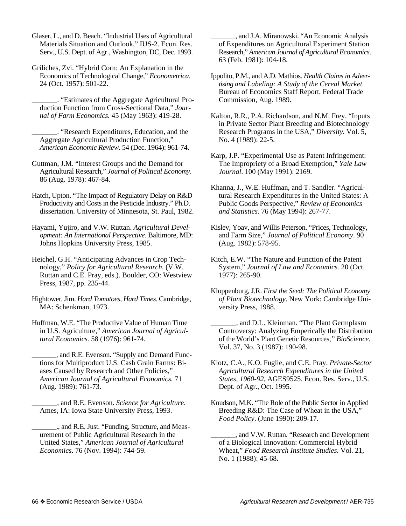Glaser, L., and D. Beach. "Industrial Uses of Agricultural Materials Situation and Outlook," IUS-2. Econ. Res. Serv., U.S. Dept. of Agr., Washington, DC, Dec. 1993.

Griliches, Zvi. "Hybrid Corn: An Explanation in the Economics of Technological Change," *Econometrica*. 24 (Oct. 1957): 501-22.

\_\_\_\_\_\_\_. "Estimates of the Aggregate Agricultural Production Function from Cross-Sectional Data," *Journal of Farm Economics.* 45 (May 1963): 419-28.

\_\_\_\_\_\_\_. "Research Expenditures, Education, and the Aggregate Agricultural Production Function," *American Economic Review*. 54 (Dec. 1964): 961-74.

Guttman, J.M. "Interest Groups and the Demand for Agricultural Research," *Journal of Political Economy*. 86 (Aug. 1978): 467-84.

Hatch, Upton. "The Impact of Regulatory Delay on R&D Productivity and Costs in the Pesticide Industry." Ph.D. dissertation. University of Minnesota, St. Paul, 1982.

Hayami, Yujiro, and V.W. Ruttan. *Agricultural Development: An International Perspective*. Baltimore, MD: Johns Hopkins University Press, 1985.

Heichel, G.H. "Anticipating Advances in Crop Technology," *Policy for Agricultural Research.* (V.W. Ruttan and C.E. Pray, eds.). Boulder, CO: Westview Press, 1987, pp. 235-44.

Hightower, Jim. *Hard Tomatoes, Hard Times*. Cambridge, MA: Schenkman, 1973.

Huffman, W.E. "The Productive Value of Human Time in U.S. Agriculture," *American Journal of Agricultural Economics.* 58 (1976): 961-74.

\_\_\_\_\_\_\_, and R.E. Evenson. "Supply and Demand Functions for Multiproduct U.S. Cash Grain Farms: Biases Caused by Research and Other Policies," *American Journal of Agricultural Economics.* 71 (Aug. 1989): 761-73.

\_\_\_\_\_\_\_, and R.E. Evenson. *Science for Agriculture*. Ames, IA: Iowa State University Press, 1993.

\_\_\_\_\_\_\_., and R.E. Just. "Funding, Structure, and Measurement of Public Agricultural Research in the United States," *American Journal of Agricultural Economics*. 76 (Nov. 1994): 744-59.

\_\_\_\_\_\_\_, and J.A. Miranowski. "An Economic Analysis of Expenditures on Agricultural Experiment Station Research," *American Journal of Agricultural Economics*. 63 (Feb. 1981): 104-18.

Ippolito, P.M., and A.D. Mathios. *Health Claims in Advertising and Labeling: A Study of the Cereal Market.* Bureau of Economics Staff Report, Federal Trade Commission, Aug. 1989.

Kalton, R.R., P.A. Richardson, and N.M. Frey. "Inputs in Private Sector Plant Breeding and Biotechnology Research Programs in the USA," *Diversity.* Vol. 5, No. 4 (1989): 22-5.

Karp, J.P. "Experimental Use as Patent Infringement: The Impropriety of a Broad Exemption," *Yale Law Journal*. 100 (May 1991): 2169.

Khanna, J., W.E. Huffman, and T. Sandler. "Agricultural Research Expenditures in the United States: A Public Goods Perspective," *Review of Economics and Statistics*. 76 (May 1994): 267-77.

Kislev, Yoav, and Willis Peterson. "Prices, Technology, and Farm Size," *Journal of Political Economy*. 90 (Aug. 1982): 578-95.

Kitch, E.W. "The Nature and Function of the Patent System," *Journal of Law and Economics.* 20 (Oct. 1977): 265-90.

Klotz, C.A., K.O. Fuglie, and C.E. Pray. *Private-Sector Agricultural Research Expenditures in the United States, 1960-92*, AGES9525. Econ. Res. Serv., U.S. Dept. of Agr., Oct. 1995.

Knudson, M.K. "The Role of the Public Sector in Applied Breeding R&D: The Case of Wheat in the USA," *Food Policy*. (June 1990): 209-17.

\_\_\_\_\_\_\_, and V.W. Ruttan. "Research and Development of a Biological Innovation: Commercial Hybrid Wheat," *Food Research Institute Studies.* Vol. 21, No. 1 (1988): 45-68.

Kloppenburg, J.R. *First the Seed: The Political Economy of Plant Biotechnology*. New York: Cambridge University Press, 1988.

\_\_\_\_\_\_\_, and D.L. Kleinman. "The Plant Germplasm Controversy: Analyzing Emperically the Distribution of the World's Plant Genetic Resources,*" BioScience.* Vol. 37, No. 3 (1987): 190-98.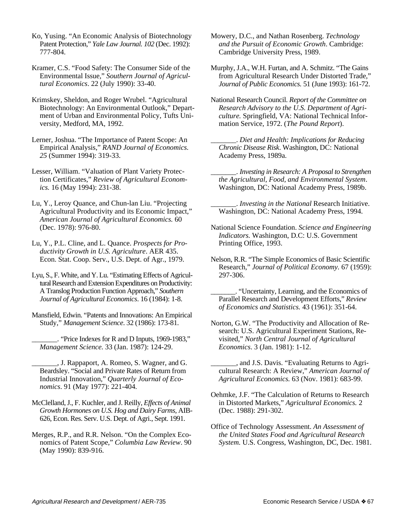- Ko, Yusing. "An Economic Analysis of Biotechnology Patent Protection," *Yale Law Journal. 102* (Dec. 1992): 777-804.
- Kramer, C.S. "Food Safety: The Consumer Side of the Environmental Issue," *Southern Journal of Agricultural Economics*. 22 (July 1990): 33-40.
- Krimskey, Sheldon, and Roger Wrubel. "Agricultural Biotechnology: An Environmental Outlook," Department of Urban and Environmental Policy, Tufts University, Medford, MA, 1992.
- Lerner, Joshua. "The Importance of Patent Scope: An Empirical Analysis," *RAND Journal of Economics. 25* (Summer 1994): 319-33.
- Lesser, William. "Valuation of Plant Variety Protection Certificates," *Review of Agricultural Economics.* 16 (May 1994): 231-38.
- Lu, Y., Leroy Quance, and Chun-lan Liu. "Projecting Agricultural Productivity and its Economic Impact," *American Journal of Agricultural Economics.* 60 (Dec. 1978): 976-80.
- Lu, Y., P.L. Cline, and L. Quance. *Prospects for Productivity Growth in U.S. Agriculture*. AER 435. Econ. Stat. Coop. Serv., U.S. Dept. of Agr., 1979.
- Lyu, S., F. White, and Y. Lu. "Estimating Effects of Agricultural Research and Extension Expenditures on Productivity: A Translog Production Function Approach," *Southern Journal of Agricultural Economics*. 16 (1984): 1-8.
- Mansfield, Edwin. "Patents and Innovations: An Empirical Study," *Management Science*. 32 (1986): 173-81.
	- \_\_\_\_\_\_\_. "Price Indexes for R and D Inputs, 1969-1983," *Management Science.* 33 (Jan. 1987): 124-29.
	- \_\_\_\_\_\_\_, J. Rappaport, A. Romeo, S. Wagner, and G. Beardsley. "Social and Private Rates of Return from Industrial Innovation," *Quarterly Journal of Economics*. 91 (May 1977): 221-404.
- McClelland, J., F. Kuchler, and J. Reilly, *Effects of Animal Growth Hormones on U.S. Hog and Dairy Farms,* AIB-626, Econ. Res. Serv. U.S. Dept. of Agri., Sept. 1991.
- Merges, R.P., and R.R. Nelson. "On the Complex Economics of Patent Scope," *Columbia Law Review*. 90 (May 1990): 839-916.
- Mowery, D.C., and Nathan Rosenberg. *Technology and the Pursuit of Economic Growth*. Cambridge: Cambridge University Press, 1989.
- Murphy, J.A., W.H. Furtan, and A. Schmitz. "The Gains from Agricultural Research Under Distorted Trade," *Journal of Public Economics.* 51 (June 1993): 161-72.
- National Research Council. *Report of the Committee on Research Advisory to the U.S. Department of Agriculture.* Springfield, VA: National Technical Information Service, 1972. (*The Pound Report*).
	- \_\_\_\_\_\_\_. *Diet and Health: Implications for Reducing Chronic Disease Risk*. Washington, DC: National Academy Press, 1989a.
	- \_\_\_\_\_\_\_. *Investing in Research: A Proposal to Strengthen the Agricultural, Food, and Environmental System*. Washington, DC: National Academy Press, 1989b.
	- \_\_\_\_\_\_\_. *Investing in the National* Research Initiative. Washington, DC: National Academy Press, 1994.
- National Science Foundation. *Science and Engineering Indicators.* Washington, D.C: U.S. Government Printing Office, 1993.
- Nelson, R.R. "The Simple Economics of Basic Scientific Research," *Journal of Political Economy.* 67 (1959): 297-306.
	- \_\_\_\_\_\_\_. "Uncertainty, Learning, and the Economics of Parallel Research and Development Efforts," *Review of Economics and Statistics.* 43 (1961): 351-64.
- Norton, G.W. "The Productivity and Allocation of Research: U.S. Agricultural Experiment Stations, Revisited," *North Central Journal of Agricultural Economics*. 3 (Jan. 1981): 1-12.
	- \_\_\_\_\_\_\_, and J.S. Davis. "Evaluating Returns to Agricultural Research: A Review," *American Journal of Agricultural Economics.* 63 (Nov. 1981): 683-99.
- Oehmke, J.F. "The Calculation of Returns to Research in Distorted Markets," *Agricultural Economics.* 2 (Dec. 1988): 291-302.
- Office of Technology Assessment. *An Assessment of the United States Food and Agricultural Research System.* U.S. Congress, Washington, DC, Dec. 1981.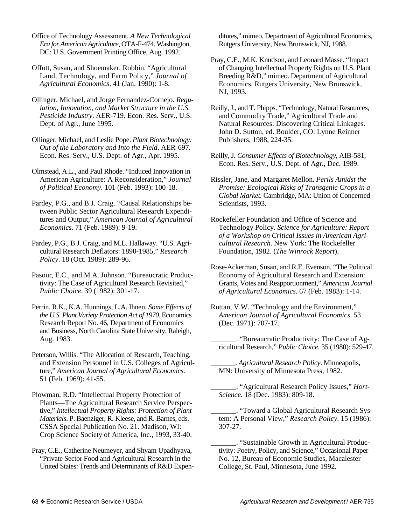- Office of Technology Assessment. *A New Technological Era for American Agriculture*, OTA-F-474. Washington, DC: U.S. Government Printing Office, Aug. 1992.
- Offutt, Susan, and Shoemaker, Robbin. "Agricultural Land, Technology, and Farm Policy," *Journal of Agricultural Economics*. 41 (Jan. 1990): 1-8.
- Ollinger, Michael, and Jorge Fernandez-Cornejo. *Regulation, Innovation, and Market Structure in the U.S. Pesticide Industry*. AER-719. Econ. Res. Serv., U.S. Dept. of Agr., June 1995.
- Ollinger, Michael, and Leslie Pope. *Plant Biotechnology: Out of the Laboratory and Into the Field*. AER-697. Econ. Res. Serv., U.S. Dept. of Agr., Apr. 1995.
- Olmstead, A.L., and Paul Rhode. "Induced Innovation in American Agriculture: A Reconsideration," *Journal of Political Economy.* 101 (Feb. 1993): 100-18.
- Pardey, P.G., and B.J. Craig. "Causal Relationships between Public Sector Agricultural Research Expenditures and Output," *American Journal of Agricultural Economics.* 71 (Feb. 1989): 9-19.
- Pardey, P.G., B.J. Craig, and M.L. Hallaway. "U.S. Agricultural Research Deflators: 1890-1985," *Research Policy*. 18 (Oct. 1989): 289-96.
- Pasour, E.C., and M.A. Johnson. "Bureaucratic Productivity: The Case of Agricultural Research Revisited," *Public Choice*. 39 (1982): 301-17.
- Perrin, R.K., K.A. Hunnings, L.A. Ihnen. *Some Effects of the U.S. Plant Variety Protection Act of 1970*. Economics Research Report No. 46, Department of Economics and Business, North Carolina State University, Raleigh, Aug. 1983.
- Peterson, Willis. "The Allocation of Research, Teaching, and Extension Personnel in U.S. Colleges of Agriculture," *American Journal of Agricultural Economics*. 51 (Feb. 1969): 41-55.
- Plowman, R.D. "Intellectual Property Protection of Plants—The Agricultural Research Service Perspective," *Intellectual Property Rights: Protection of Plant Materials*. P. Baenziger, R. Kleese, and R. Barnes, eds. CSSA Special Publication No. 21. Madison, WI: Crop Science Society of America, Inc., 1993, 33-40.
- Pray, C.E., Catherine Neumeyer, and Shyam Upadhyaya, "Private Sector Food and Agricultural Research in the United States: Trends and Determinants of R&D Expen-

ditures," mimeo. Department of Agricultural Economics, Rutgers University, New Brunswick, NJ, 1988.

- Pray, C.E., M.K. Knudson, and Leonard Masse. "Impact of Changing Intellectual Property Rights on U.S. Plant Breeding R&D," mimeo. Department of Agricultural Economics, Rutgers University, New Brunswick, NJ, 1993.
- Reilly, J., and T. Phipps. "Technology, Natural Resources, and Commodity Trade," Agricultural Trade and Natural Resources: Discovering Critical Linkages. John D. Sutton, ed. Boulder, CO: Lynne Reinner Publishers, 1988, 224-35.
- Reilly, J. *Consumer Effects of Biotechnology*, AIB-581, Econ. Res. Serv., U.S. Dept. of Agr., Dec. 1989.
- Rissler, Jane, and Margaret Mellon. *Perils Amidst the Promise: Ecological Risks of Transgenic Crops in a Global Market.* Cambridge, MA: Union of Concerned Scientists, 1993.
- Rockefeller Foundation and Office of Science and Technology Policy. *Science for Agriculture: Report of a Workshop on Critical Issues in American Agricultural Research*. New York: The Rockefeller Foundation, 1982. (*The Winrock Report*).
- Rose-Ackerman, Susan, and R.E. Evenson. "The Political Economy of Agricultural Research and Extension: Grants, Votes and Reapportionment," *American Journal of Agricultural Economics*. 67 (Feb. 1983): 1-14.
- Ruttan, V.W. "Technology and the Environment," *American Journal of Agricultural Economics*. 53 (Dec. 1971): 707-17.
- \_\_\_\_\_\_\_. "Bureaucratic Productivity: The Case of Agricultural Research," *Public Choice.* 35 (1980): 529-47.
- \_\_\_\_\_\_\_. *Agricultural Research Policy*. Minneapolis, MN: University of Minnesota Press, 1982.
- \_\_\_\_\_\_\_. "Agricultural Research Policy Issues," *Hort-Science.* 18 (Dec. 1983): 809-18.
- \_\_\_\_\_\_\_. "Toward a Global Agricultural Research System: A Personal View," *Research Policy*. 15 (1986): 307-27.
- \_\_\_\_\_\_\_. "Sustainable Growth in Agricultural Productivity: Poetry, Policy, and Science," Occasional Paper No. 12, Bureau of Economic Studies, Macalester College, St. Paul, Minnesota, June 1992.